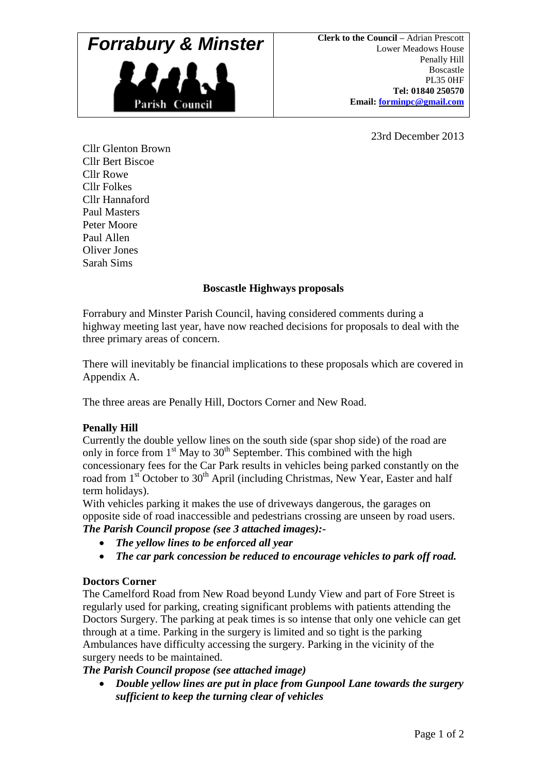## **Forrabury & Minster Clerk to the Council – Adrian Prescott** Lower Meadows House



Lower Meadows House Penally Hill Boscastle PL35 0HF **Tel: 01840 250570 Email: [forminpc@gmail.com](mailto:forminpc@gmail.com)**

23rd December 2013

Cllr Glenton Brown Cllr Bert Biscoe Cllr Rowe Cllr Folkes Cllr Hannaford Paul Masters Peter Moore Paul Allen Oliver Jones Sarah Sims

## **Boscastle Highways proposals**

Forrabury and Minster Parish Council, having considered comments during a highway meeting last year, have now reached decisions for proposals to deal with the three primary areas of concern.

There will inevitably be financial implications to these proposals which are covered in Appendix A.

The three areas are Penally Hill, Doctors Corner and New Road.

## **Penally Hill**

Currently the double yellow lines on the south side (spar shop side) of the road are only in force from  $1<sup>st</sup>$  May to  $30<sup>th</sup>$  September. This combined with the high concessionary fees for the Car Park results in vehicles being parked constantly on the road from  $1<sup>st</sup>$  October to  $30<sup>th</sup>$  April (including Christmas, New Year, Easter and half term holidays).

With vehicles parking it makes the use of driveways dangerous, the garages on opposite side of road inaccessible and pedestrians crossing are unseen by road users. *The Parish Council propose (see 3 attached images):-*

- *The yellow lines to be enforced all year*
- *The car park concession be reduced to encourage vehicles to park off road.*

#### **Doctors Corner**

The Camelford Road from New Road beyond Lundy View and part of Fore Street is regularly used for parking, creating significant problems with patients attending the Doctors Surgery. The parking at peak times is so intense that only one vehicle can get through at a time. Parking in the surgery is limited and so tight is the parking Ambulances have difficulty accessing the surgery. Parking in the vicinity of the surgery needs to be maintained.

*The Parish Council propose (see attached image)* 

 *Double yellow lines are put in place from Gunpool Lane towards the surgery sufficient to keep the turning clear of vehicles*